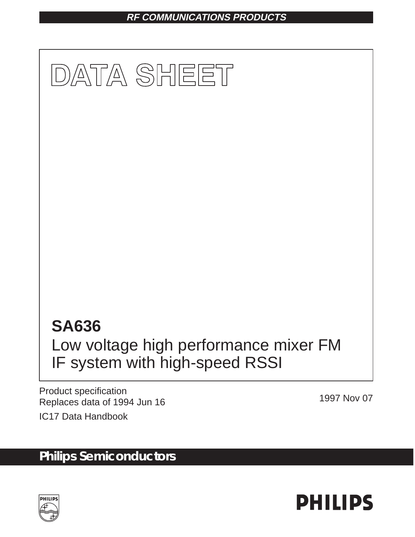## **RF COMMUNICATIONS PRODUCTS**



Product specification Replaces data of 1994 Jun 16 1997 Nov 07

IC17 Data Handbook

# **Philips Semiconductors**



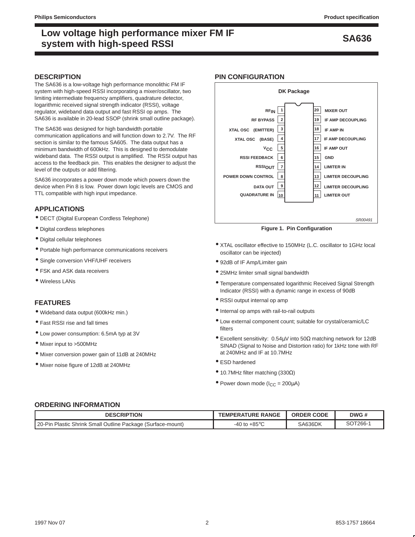## **SA636 Low voltage high performance mixer FM IF system with high-speed RSSI**

#### **DESCRIPTION**

The SA636 is a low-voltage high performance monolithic FM IF system with high-speed RSSI incorporating a mixer/oscillator, two limiting intermediate frequency amplifiers, quadrature detector, logarithmic received signal strength indicator (RSSI), voltage regulator, wideband data output and fast RSSI op amps. The SA636 is available in 20-lead SSOP (shrink small outline package).

The SA636 was designed for high bandwidth portable communication applications and will function down to 2.7V. The RF section is similar to the famous SA605. The data output has a minimum bandwidth of 600kHz. This is designed to demodulate wideband data. The RSSI output is amplified. The RSSI output has access to the feedback pin. This enables the designer to adjust the level of the outputs or add filtering.

SA636 incorporates a power down mode which powers down the device when Pin 8 is low. Power down logic levels are CMOS and TTL compatible with high input impedance.

#### **APPLICATIONS**

- DECT (Digital European Cordless Telephone)
- Digital cordless telephones
- Digital cellular telephones
- Portable high performance communications receivers
- Single conversion VHF/UHF receivers
- FSK and ASK data receivers
- Wireless LANs

#### **FEATURES**

- Wideband data output (600kHz min.)
- Fast RSSI rise and fall times
- Low power consumption: 6.5mA typ at 3V
- Mixer input to >500MHz
- Mixer conversion power gain of 11dB at 240MHz
- Mixer noise figure of 12dB at 240MHz

#### **PIN CONFIGURATION**



**Figure 1. Pin Configuration**

- XTAL oscillator effective to 150MHz (L.C. oscillator to 1GHz local oscillator can be injected)
- 92dB of IF Amp/Limiter gain
- 25MHz limiter small signal bandwidth
- Temperature compensated logarithmic Received Signal Strength Indicator (RSSI) with a dynamic range in excess of 90dB
- RSSI output internal op amp
- Internal op amps with rail-to-rail outputs
- Low external component count; suitable for crystal/ceramic/LC filters
- Excellent sensitivity: 0.54µV into 50Ω matching network for 12dB SINAD (Signal to Noise and Distortion ratio) for 1kHz tone with RF at 240MHz and IF at 10.7MHz
- ESD hardened
- 10.7MHz filter matching (330Ω)
- Power down mode ( $I_{CC} = 200 \mu A$ )

#### **ORDERING INFORMATION**

| <b>DESCRIPTION</b>                                          | <b>TEMPERATURE RANGE</b>  | <b>ORDER CODE</b> | DWG#    |
|-------------------------------------------------------------|---------------------------|-------------------|---------|
| 20-Pin Plastic Shrink Small Outline Package (Surface-mount) | $+85^{\circ}$ C<br>-40 to | SA636DK           | SOT266- |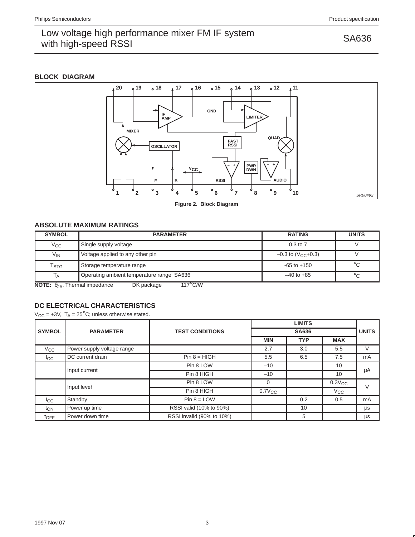#### **BLOCK DIAGRAM**



**Figure 2. Block Diagram**

### **ABSOLUTE MAXIMUM RATINGS**

| <b>SYMBOL</b>                                                                     | <b>PARAMETER</b>                          | <b>RATING</b>                    | <b>UNITS</b> |  |  |
|-----------------------------------------------------------------------------------|-------------------------------------------|----------------------------------|--------------|--|--|
| $V_{\rm CC}$                                                                      | Single supply voltage                     | $0.3$ to $7$                     |              |  |  |
| $V_{IN}$                                                                          | Voltage applied to any other pin          | $-0.3$ to (V <sub>CC</sub> +0.3) |              |  |  |
| $\mathsf{T}_{\textsf{STG}}$                                                       | Storage temperature range                 | $-65$ to $+150$                  | $^{\circ}$ C |  |  |
| $\mathsf{I}_{\mathsf{A}}$                                                         | Operating ambient temperature range SA636 | $-40$ to $+85$                   | $^{\circ}C$  |  |  |
| $117^{\circ}$ C/W<br><b>NOTE:</b> $\theta_{JA}$ , Thermal impedance<br>DK package |                                           |                                  |              |  |  |

**DC ELECTRICAL CHARACTERISTICS**  $V_{CC}$  = +3V,  $T_A$  = 25<sup>°</sup>C; unless otherwise stated.

|                  | <b>PARAMETER</b>           |                           |             |              |              |        |  |
|------------------|----------------------------|---------------------------|-------------|--------------|--------------|--------|--|
| <b>SYMBOL</b>    |                            | <b>TEST CONDITIONS</b>    |             | <b>SA636</b> |              |        |  |
|                  |                            |                           | <b>MIN</b>  | <b>TYP</b>   | <b>MAX</b>   |        |  |
| $V_{\rm CC}$     | Power supply voltage range |                           | 2.7         | 3.0          | 5.5          | V      |  |
| $_{\rm{lc}}$     | DC current drain           | $Pin 8 = HIGH$            | 5.5         | 6.5          | 7.5          | mA     |  |
| Input current    |                            | Pin 8 LOW                 | $-10$       |              | 10           | μA     |  |
|                  |                            | Pin 8 HIGH                | $-10$       |              | 10           |        |  |
|                  |                            | Pin 8 LOW                 | 0           |              | $0.3V_{CC}$  | $\vee$ |  |
| Input level      |                            | Pin 8 HIGH                | $0.7V_{CC}$ |              | $V_{\rm CC}$ |        |  |
| l <sub>CC</sub>  | Standby                    | $Pin 8 = LOW$             |             | 0.2          | 0.5          | mA     |  |
| t <sub>ON</sub>  | Power up time              | RSSI valid (10% to 90%)   |             | 10           |              | μs     |  |
| $t_{\text{OFF}}$ | Power down time            | RSSI invalid (90% to 10%) |             | 5            |              | μs     |  |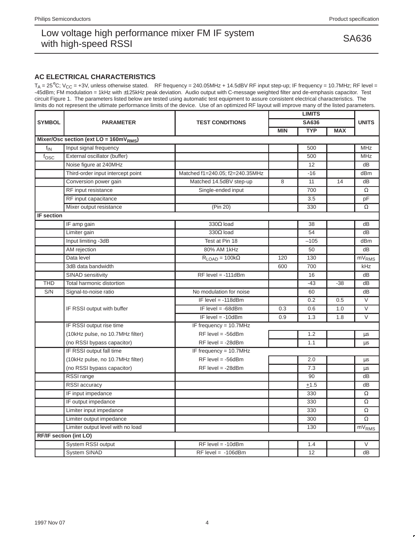### **AC ELECTRICAL CHARACTERISTICS**

 $T_A = 25^{\circ}$ C; V<sub>CC</sub> = +3V, unless otherwise stated. RF frequency = 240.05MHz + 14.5dBV RF input step-up; IF frequency = 10.7MHz; RF level = -45dBm; FM modulation = 1kHz with ±125kHz peak deviation. Audio output with C-message weighted filter and de-emphasis capacitor. Test circuit Figure 1. The parameters listed below are tested using automatic test equipment to assure consistent electrical characteristics. The limits do not represent the ultimate performance limits of the device. Use of an optimized RF layout will improve many of the listed parameters.

| <b>SYMBOL</b>     | <b>PARAMETER</b>                         |                                 | <b>LIMITS</b> |            |            |                   |
|-------------------|------------------------------------------|---------------------------------|---------------|------------|------------|-------------------|
|                   |                                          | <b>TEST CONDITIONS</b>          | SA636         |            |            | <b>UNITS</b>      |
|                   |                                          |                                 | <b>MIN</b>    | <b>TYP</b> | <b>MAX</b> |                   |
|                   | Mixer/Osc section (ext $LO = 160mVRMS$ ) |                                 |               |            |            |                   |
| $f_{IN}$          | Input signal frequency                   |                                 |               | 500        |            | <b>MHz</b>        |
| $f_{\rm OSC}$     | External oscillator (buffer)             |                                 |               | 500        |            | <b>MHz</b>        |
|                   | Noise figure at 240MHz                   |                                 |               | 12         |            | dB                |
|                   | Third-order input intercept point        | Matched f1=240.05; f2=240.35MHz |               | $-16$      |            | dBm               |
|                   | Conversion power gain                    | Matched 14.5dBV step-up         | 8             | 11         | 14         | dB                |
|                   | RF input resistance                      | Single-ended input              |               | 700        |            | Ω                 |
|                   | RF input capacitance                     |                                 |               | 3.5        |            | pF                |
|                   | Mixer output resistance                  | (Pin 20)                        |               | 330        |            | Ω                 |
| <b>IF section</b> |                                          |                                 |               |            |            |                   |
|                   | IF amp gain                              | $330\Omega$ load                |               | 38         |            | dB                |
|                   | Limiter gain                             | $330\Omega$ load                |               | 54         |            | dB                |
|                   | Input limiting -3dB                      | Test at Pin 18                  |               | $-105$     |            | dBm               |
|                   | AM rejection                             | 80% AM 1kHz                     |               | 50         |            | dB                |
|                   | Data level                               | $R_{LOAD} = 100k\Omega$         | 120           | 130        |            | mV <sub>RMS</sub> |
|                   | 3dB data bandwidth                       |                                 | 600           | 700        |            | kHz               |
|                   | SINAD sensitivity                        | $RF$ level = -111dBm            |               | 16         |            | dB                |
| <b>THD</b>        | Total harmonic distortion                |                                 |               | $-43$      | $-38$      | dB                |
| S/N               | Signal-to-noise ratio                    | No modulation for noise         |               | 60         |            | dB                |
|                   |                                          | IF level $= -118$ dBm           |               | 0.2        | 0.5        | $\vee$            |
|                   | IF RSSI output with buffer               | IF level $= -68$ dBm            | 0.3           | 0.6        | 1.0        | $\vee$            |
|                   |                                          | IF level $= -10$ dBm            | 0.9           | 1.3        | 1.8        | V                 |
|                   | IF RSSI output rise time                 | IF frequency = 10.7MHz          |               |            |            |                   |
|                   | (10kHz pulse, no 10.7MHz filter)         | $RF$ level = -56dBm             |               | 1.2        |            | $\mu$ s           |
|                   | (no RSSI bypass capacitor)               | $RF$ level = -28dBm             |               | 1.1        |            | μs                |
|                   | IF RSSI output fall time                 | IF frequency = 10.7MHz          |               |            |            |                   |
|                   | (10kHz pulse, no 10.7MHz filter)         | $RF$ level = -56dBm             |               | 2.0        |            | μs                |
|                   | (no RSSI bypass capacitor)               | $RF$ level = -28dBm             |               | 7.3        |            | $\mu s$           |
|                   | RSSI range                               |                                 |               | 90         |            | dB                |
|                   | RSSI accuracy                            |                                 |               | $+1.5$     |            | dB                |
|                   | IF input impedance                       |                                 |               | 330        |            | $\Omega$          |
|                   | IF output impedance                      |                                 |               | 330        |            | $\Omega$          |
|                   | Limiter input impedance                  |                                 |               | 330        |            | $\Omega$          |
|                   | Limiter output impedance                 |                                 |               | 300        |            | $\Omega$          |
|                   | Limiter output level with no load        |                                 |               | 130        |            | mV <sub>RMS</sub> |
|                   | <b>RF/IF section (int LO)</b>            |                                 |               |            |            |                   |
|                   | System RSSI output                       | $RF$ level = -10dBm             |               | 1.4        |            | $\vee$            |
|                   | <b>System SINAD</b>                      | $RF$ level = $-106$ dBm         |               | 12         |            | dB                |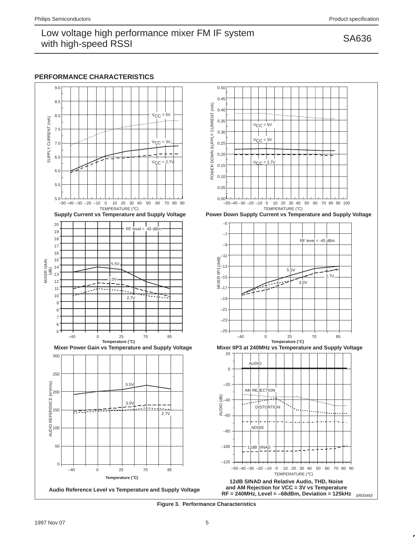#### **PERFORMANCE CHARACTERISTICS**





**Figure 3. Performance Characteristics**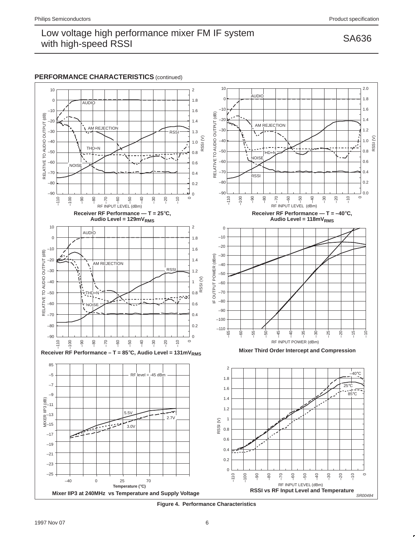### **PERFORMANCE CHARACTERISTICS** (continued)



**Figure 4. Performance Characteristics**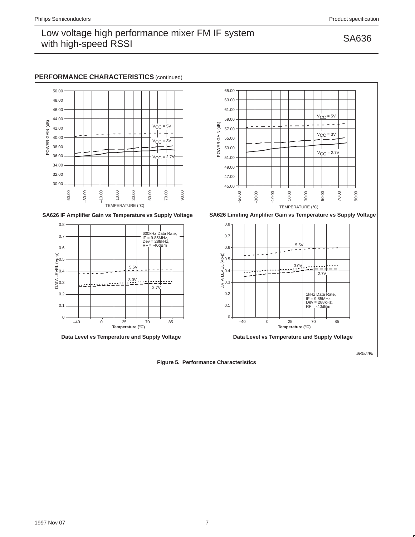#### **PERFORMANCE CHARACTERISTICS** (continued)











**Figure 5. Performance Characteristics**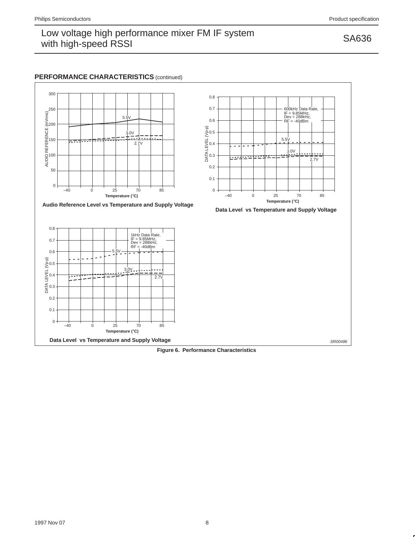### **PERFORMANCE CHARACTERISTICS** (continued)



**Figure 6. Performance Characteristics**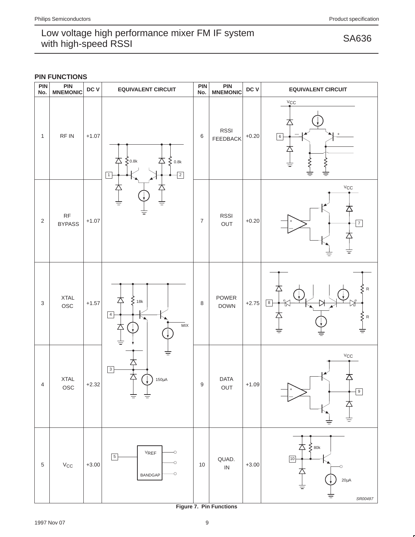|  |  |  | <b>PIN FUNCTIONS</b> |
|--|--|--|----------------------|
|--|--|--|----------------------|



**Figure 7. Pin Functions**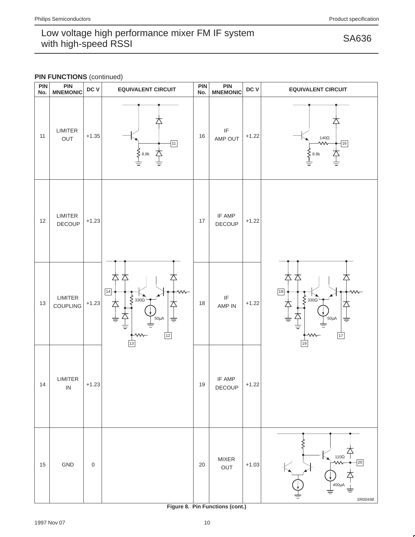### **PIN FUNCTIONS** (continued)



**Figure 8. Pin Functions (cont.)**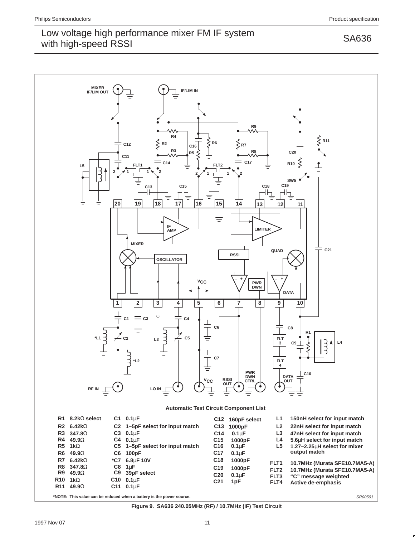

**Figure 9. SA636 240.05MHz (RF) / 10.7MHz (IF) Test Circuit**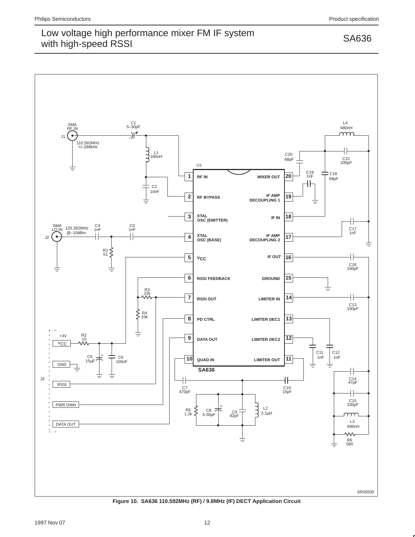

**Figure 10. SA636 110.592MHz (RF) / 9.8MHz (IF) DECT Application Circuit**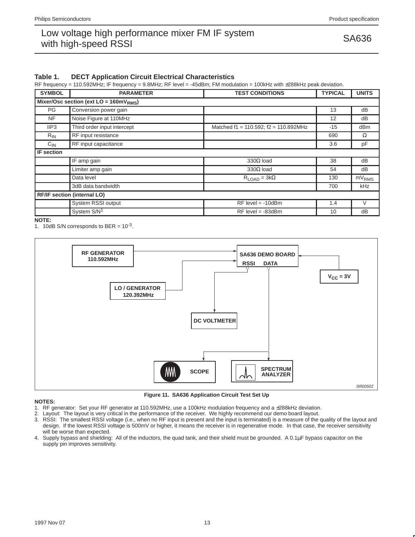#### **Table 1. DECT Application Circuit Electrical Characteristics**

RF frequency = 110.592MHz; IF frequency = 9.8MHz; RF level = -45dBm; FM modulation = 100kHz with ±288kHz peak deviation.

| <b>SYMBOL</b> | <b>PARAMETER</b>                         | <b>TEST CONDITIONS</b>                      | <b>TYPICAL</b> | <b>UNITS</b>      |
|---------------|------------------------------------------|---------------------------------------------|----------------|-------------------|
|               | Mixer/Osc section (ext $LO = 160mVRMS$ ) |                                             |                |                   |
| PG            | Conversion power gain                    |                                             | 13             | dB                |
| NF.           | Noise Figure at 110MHz                   |                                             | 12             | dB                |
| IIP3          | Third order input intercept              | Matched $f1 = 110.592$ ; $f2 = 110.892$ MHz | $-15$          | dBm               |
| $R_{IN}$      | RF input resistance                      |                                             | 690            | $\Omega$          |
| $C_{IN}$      | RF input capacitance                     |                                             | 3.6            | pF                |
| IF section    |                                          |                                             |                |                   |
|               | IF amp gain                              | $330\Omega$ load                            | 38             | dB                |
|               | Limiter amp gain                         | $330\Omega$ load                            | 54             | dB                |
|               | Data level                               | $R_{\text{LOAD}} = 3k\Omega$                | 130            | mV <sub>RMS</sub> |
|               | 3dB data bandwidth                       |                                             | 700            | kHz               |
|               | <b>RF/IF section (internal LO)</b>       |                                             |                |                   |
|               | System RSSI output                       | $RF$ level = -10dBm                         | 1.4            | V                 |
|               | System S/N <sup>1</sup>                  | $RF$ level = -83dBm                         | 10             | dB                |

**NOTE:**

1. 10dB S/N corresponds to BER =  $10^{-3}$ .



**Figure 11. SA636 Application Circuit Test Set Up**

#### **NOTES:**

- 1. RF generator: Set your RF generator at 110.592MHz, use a 100kHz modulation frequency and a ±288kHz deviation.
- 2. Layout: The layout is very critical in the performance of the receiver. We highly recommend our demo board layout.
- 3. RSSI: The smallest RSSI voltage (i.e., when no RF input is present and the input is terminated) is a measure of the quality of the layout and design. If the lowest RSSI voltage is 500mV or higher, it means the receiver is in regenerative mode. In that case, the receiver sensitivity will be worse than expected.
- 4. Supply bypass and shielding: All of the inductors, the quad tank, and their shield must be grounded. A 0.1µF bypass capacitor on the supply pin improves sensitivity.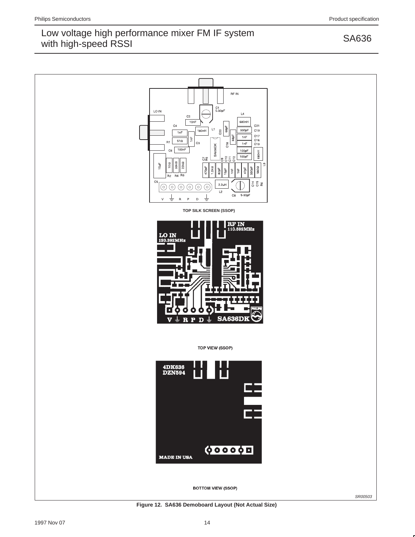

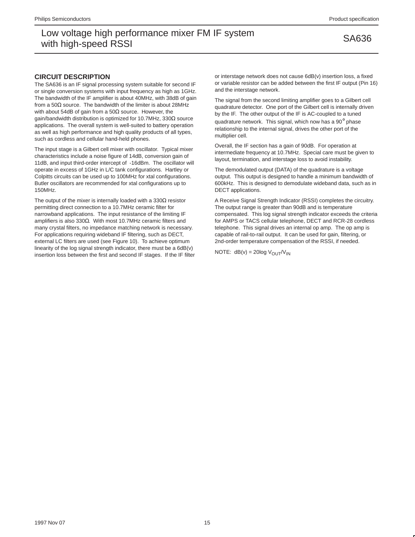#### **CIRCUIT DESCRIPTION**

The SA636 is an IF signal processing system suitable for second IF or single conversion systems with input frequency as high as 1GHz. The bandwidth of the IF amplifier is about 40MHz, with 38dB of gain from a 50Ω source. The bandwidth of the limiter is about 28MHz with about 54dB of gain from a 50 $\Omega$  source. However, the gain/bandwidth distribution is optimized for 10.7MHz, 330Ω source applications. The overall system is well-suited to battery operation as well as high performance and high quality products of all types, such as cordless and cellular hand-held phones.

The input stage is a Gilbert cell mixer with oscillator. Typical mixer characteristics include a noise figure of 14dB, conversion gain of 11dB, and input third-order intercept of -16dBm. The oscillator will operate in excess of 1GHz in L/C tank configurations. Hartley or Colpitts circuits can be used up to 100MHz for xtal configurations. Butler oscillators are recommended for xtal configurations up to 150MHz.

The output of the mixer is internally loaded with a  $330\Omega$  resistor permitting direct connection to a 10.7MHz ceramic filter for narrowband applications. The input resistance of the limiting IF amplifiers is also 330Ω. With most 10.7MHz ceramic filters and many crystal filters, no impedance matching network is necessary. For applications requiring wideband IF filtering, such as DECT, external LC filters are used (see Figure 10). To achieve optimum linearity of the log signal strength indicator, there must be a 6dB(v) insertion loss between the first and second IF stages. If the IF filter or interstage network does not cause 6dB(v) insertion loss, a fixed or variable resistor can be added between the first IF output (Pin 16) and the interstage network.

The signal from the second limiting amplifier goes to a Gilbert cell quadrature detector. One port of the Gilbert cell is internally driven by the IF. The other output of the IF is AC-coupled to a tuned quadrature network. This signal, which now has a 90° phase relationship to the internal signal, drives the other port of the multiplier cell.

Overall, the IF section has a gain of 90dB. For operation at intermediate frequency at 10.7MHz. Special care must be given to layout, termination, and interstage loss to avoid instability.

The demodulated output (DATA) of the quadrature is a voltage output. This output is designed to handle a minimum bandwidth of 600kHz. This is designed to demodulate wideband data, such as in DECT applications.

A Receive Signal Strength Indicator (RSSI) completes the circuitry. The output range is greater than 90dB and is temperature compensated. This log signal strength indicator exceeds the criteria for AMPS or TACS cellular telephone, DECT and RCR-28 cordless telephone. This signal drives an internal op amp. The op amp is capable of rail-to-rail output. It can be used for gain, filtering, or 2nd-order temperature compensation of the RSSI, if needed.

NOTE:  $dB(v) = 20log V<sub>OUT</sub>/V<sub>IN</sub>$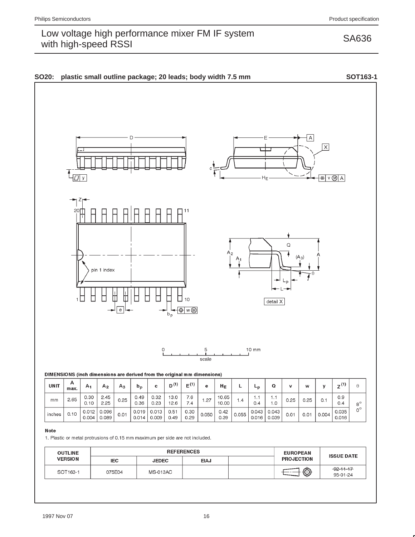

#### **Note**

inches

 $0.10$ 

 $0.012$ 

 $0.004$ 

0.096

0.089

1. Plastic or metal protrusions of 0.15 mm maximum per side are not included.

 $0.01$ 

0.019

 $0.014$ 

 $0.013$ 

 $0.009$ 

 $0.51$ 

 $0.49$ 

 $0.30$ 

 $0.29$ 

| <b>OUTLINE</b> | <b>REFERENCES</b> |                 |             | <b>EUROPEAN</b> | <b>ISSUE DATE</b> |                             |
|----------------|-------------------|-----------------|-------------|-----------------|-------------------|-----------------------------|
| <b>VERSION</b> | <b>IEC</b>        | <b>JEDEC</b>    | <b>EIAJ</b> |                 | <b>PROJECTION</b> |                             |
| SOT163-1       | 075E04            | <b>MS-013AC</b> |             |                 | $\bigcirc$        | $-92 - 11 - 17$<br>95-01-24 |

0.050

 $0.42$ 

0.39

 $0.055$ 

 $0.043$ 

 $0.016$ 

 $0.043$ 

0.039

 $0.01$ 

 $0.01$ 

 $0.004$ 

0.035

 $0.016$